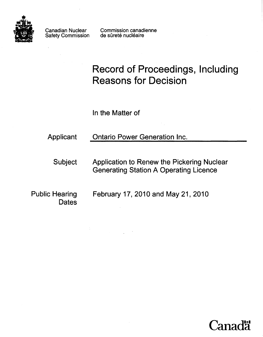

Canadian Nuclear Safety Commission Commission canadienne de sûreté nucléaire

# **Record of Proceedings, Including Reasons for Decision**

In the Matter of

Applicant **Ontario Power Generation Inc.** 

Subject Application to Renew the Pickering Nuclear Generating Station A Operating Licence

**Dates** 

Public Hearing February 17, 2010 and May 21, 2010

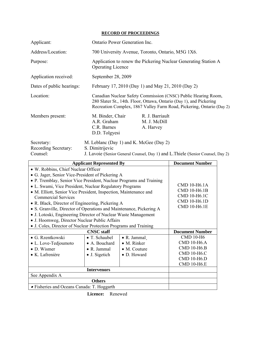#### **RECORD OF PROCEEDINGS**

| Applicant:                                     |                                                                                                                                                                                                                | Ontario Power Generation Inc.                                                   |  |
|------------------------------------------------|----------------------------------------------------------------------------------------------------------------------------------------------------------------------------------------------------------------|---------------------------------------------------------------------------------|--|
| Address/Location:                              |                                                                                                                                                                                                                | 700 University Avenue, Toronto, Ontario, M5G 1X6.                               |  |
| Purpose:                                       | <b>Operating Licence</b>                                                                                                                                                                                       | Application to renew the Pickering Nuclear Generating Station A                 |  |
| Application received:                          | September 28, 2009                                                                                                                                                                                             |                                                                                 |  |
| Dates of public hearings:                      |                                                                                                                                                                                                                | February 17, 2010 (Day 1) and May 21, 2010 (Day 2)                              |  |
| Location:                                      | Canadian Nuclear Safety Commission (CNSC) Public Hearing Room,<br>280 Slater St., 14th. Floor, Ottawa, Ontario (Day 1), and Pickering<br>Recreation Complex, 1867 Valley Farm Road, Pickering, Ontario (Day 2) |                                                                                 |  |
| Members present:                               | M. Binder, Chair<br>A.R. Graham<br>C.R. Barnes<br>D.D. Tolgyesi                                                                                                                                                | R. J. Barriault<br>M. J. McDill<br>A. Harvey                                    |  |
| Secretary:<br>Recording Secretary:<br>Counsel: | M. Leblanc (Day 1) and K. McGee (Day 2)<br>S. Dimitrijevic                                                                                                                                                     | J. Lavoie (Senior General Counsel, Day 1) and L. Thiele (Senior Counsel, Day 2) |  |

| <b>Applicant Represented By</b>                                                                                                                                                                                                                                                      |                     |                      | <b>Document Number</b>                                                       |
|--------------------------------------------------------------------------------------------------------------------------------------------------------------------------------------------------------------------------------------------------------------------------------------|---------------------|----------------------|------------------------------------------------------------------------------|
| • W. Robbins, Chief Nuclear Officer                                                                                                                                                                                                                                                  |                     |                      |                                                                              |
| • G. Jager, Senior Vice-President of Pickering A                                                                                                                                                                                                                                     |                     |                      |                                                                              |
| • P. Tremblay, Senior Vice President, Nuclear Programs and Training<br>• L. Swami, Vice President, Nuclear Regulatory Programs<br>• M. Elliott, Senior Vice President, Inspection, Maintenance and<br><b>Commercial Services</b><br>• R. Black, Director of Engineering, Pickering A |                     |                      | CMD 10-H6.1A<br>CMD 10-H6.1B<br>CMD 10-H6.1C<br>CMD 10-H6.1D<br>CMD 10-H6.1E |
| • S. Granville, Director of Operations and Maintenance, Pickering A<br>• J. Lotoski, Engineering Director of Nuclear Waste Management<br>• J. Hoornweg, Director Nuclear Public Affairs<br>• J. Coles, Director of Nuclear Protection Programs and Training                          |                     |                      |                                                                              |
|                                                                                                                                                                                                                                                                                      | <b>CNSC</b> staff   |                      | <b>Document Number</b>                                                       |
| • G. Rzentkowski                                                                                                                                                                                                                                                                     | • T. Schaubel       | $\bullet$ R. Jammal  | <b>CMD 10-H6</b>                                                             |
| • L. Love-Tedjoumoto                                                                                                                                                                                                                                                                 | • A. Bouchard       | $\bullet$ M. Rinker  | <b>CMD 10-H6.A</b>                                                           |
| $\bullet$ D. Wismer                                                                                                                                                                                                                                                                  | $\bullet$ R. Jammal | $\bullet$ M. Couture | <b>CMD 10-H6.B</b>                                                           |
| • K. Lafrenière                                                                                                                                                                                                                                                                      | • J. Sigetich       | • D. Howard          | <b>CMD 10-H6.C</b><br><b>CMD 10-H6.D</b><br><b>CMD 10-H6.E</b>               |
| <b>Intervenors</b>                                                                                                                                                                                                                                                                   |                     |                      |                                                                              |
| See Appendix A                                                                                                                                                                                                                                                                       |                     |                      |                                                                              |
| <b>Others</b>                                                                                                                                                                                                                                                                        |                     |                      |                                                                              |
| • Fisheries and Oceans Canada: T. Hoggarth                                                                                                                                                                                                                                           |                     |                      |                                                                              |

**Licence:** Renewed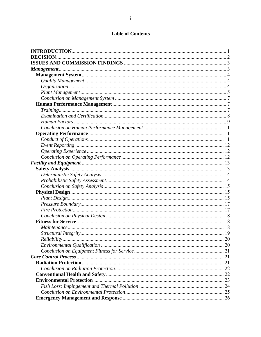# **Table of Contents**

| <b>DECISION</b>    |    |
|--------------------|----|
|                    |    |
|                    |    |
|                    |    |
|                    |    |
|                    |    |
|                    |    |
|                    |    |
|                    |    |
|                    |    |
|                    |    |
|                    |    |
|                    |    |
|                    |    |
|                    |    |
|                    |    |
|                    |    |
|                    |    |
|                    |    |
|                    |    |
|                    |    |
|                    |    |
|                    |    |
|                    |    |
|                    |    |
|                    |    |
|                    |    |
|                    |    |
|                    |    |
|                    |    |
|                    |    |
| <i>Reliability</i> | 20 |
|                    |    |
|                    |    |
|                    |    |
|                    |    |
|                    |    |
|                    |    |
|                    |    |
|                    |    |
|                    |    |
|                    |    |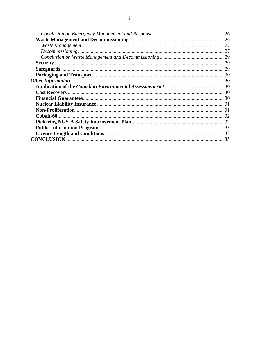| 26 |
|----|
| 26 |
| 27 |
| 27 |
| 29 |
| 29 |
| 29 |
|    |
|    |
|    |
|    |
|    |
|    |
|    |
|    |
|    |
|    |
|    |
|    |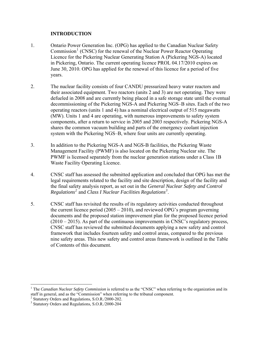## **INTRODUCTION**

- <span id="page-4-0"></span>1. Ontario Power Generation Inc. (OPG) has applied to the Canadian Nuclear Safety Commission<sup>[1](#page-4-1)</sup> (CNSC) for the renewal of the Nuclear Power Reactor Operating Licence for the Pickering Nuclear Generating Station A (Pickering NGS-A) located in Pickering, Ontario. The current operating licence PROL 04.17/2010 expires on June 30, 2010. OPG has applied for the renewal of this licence for a period of five years.
- 2. The nuclear facility consists of four CANDU pressurized heavy water reactors and their associated equipment. Two reactors (units 2 and 3) are not operating. They were defueled in 2008 and are currently being placed in a safe storage state until the eventual decommissioning of the Pickering NGS-A and Pickering NGS–B sites. Each of the two operating reactors (units 1 and 4) has a nominal electrical output of 515 megawatts (MW). Units 1 and 4 are operating, with numerous improvements to safety system components, after a return to service in 2005 and 2003 respectively. Pickering NGS-A shares the common vacuum building and parts of the emergency coolant injection system with the Pickering NGS–B, where four units are currently operating.
- 3. In addition to the Pickering NGS-A and NGS-B facilities, the Pickering Waste Management Facility (PWMF) is also located on the Pickering Nuclear site. The PWMF is licensed separately from the nuclear generation stations under a Class 1B Waste Facility Operating Licence.
- 4. CNSC staff has assessed the submitted application and concluded that OPG has met the legal requirements related to the facility and site description, design of the facility and the final safety analysis report, as set out in the *General Nuclear Safety and Control Regulations[2](#page-4-2)* and *Class I Nuclear Facilities Regulations[3](#page-4-3)* .
- 5. CNSC staff has revisited the results of its regulatory activities conducted throughout the current licence period (2005 – 2010), and reviewed OPG's program governing documents and the proposed station improvement plan for the proposed licence period (2010 – 2015). As part of the continuous improvements in CNSC's regulatory process, CNSC staff has reviewed the submitted documents applying a new safety and control framework that includes fourteen safety and control areas, compared to the previous nine safety areas. This new safety and control areas framework is outlined in the Table of Contents of this document.

 $\overline{a}$ 

<span id="page-4-1"></span><sup>&</sup>lt;sup>1</sup> The *Canadian Nuclear Safety Commission* is referred to as the "CNSC" when referring to the organization and its staff in general, and as the "Commission" when referring to the tribunal component.

<span id="page-4-2"></span><sup>&</sup>lt;sup>2</sup> Statutory Orders and Regulations, S.O.R./2000-202.

<span id="page-4-3"></span><sup>3</sup> Statutory Orders and Regulations, S.O.R./2000-204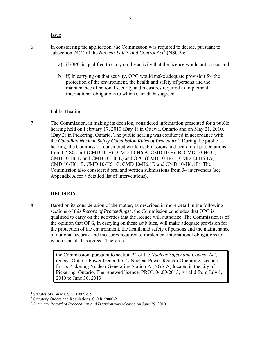Issue

- <span id="page-5-0"></span>6. In considering the application, the Commission was required to decide, pursuant to subsection 2[4](#page-5-1)(4) of the *Nuclear Safety and Control Act*<sup>4</sup> (NSCA):
	- a) if OPG is qualified to carry on the activity that the licence would authorize; and
	- b) if, in carrying on that activity, OPG would make adequate provision for the protection of the environment, the health and safety of persons and the maintenance of national security and measures required to implement international obligations to which Canada has agreed.

## Public Hearing

7. The Commission, in making its decision, considered information presented for a public hearing held on February 17, 2010 (Day 1) in Ottawa, Ontario and on May 21, 2010, (Day 2) in Pickering, Ontario. The public hearing was conducted in accordance with the *Canadian Nuclear Safety Commission Rules of Procedure*<sup>[5](#page-5-2)</sup>. During the public hearing, the Commission considered written submissions and heard oral presentations from CNSC staff (CMD 10-H6, CMD 10-H6.A, CMD 10-H6.B, CMD 10-H6.C, CMD 10-H6.D and CMD 10-H6.E) and OPG (CMD 10-H6.1, CMD 10-H6.1A, CMD 10-H6.1B, CMD 10-H6.1C, CMD 10-H6.1D and CMD 10-H6.1E). The Commission also considered oral and written submissions from 34 intervenors (see Appendix A for a detailed list of interventions).

## **DECISION**

8. Based on its consideration of the matter, as described in more detail in the following sections of this *Record of Proceedings*<sup>[6](#page-5-3)</sup>, the Commission concludes that OPG is qualified to carry on the activities that the licence will authorize. The Commission is of the opinion that OPG, in carrying on these activities, will make adequate provision for the protection of the environment, the health and safety of persons and the maintenance of national security and measures required to implement international obligations to which Canada has agreed. Therefore,

> the Commission, pursuant to section 24 of the *Nuclear Safety and Control Act*, renews Ontario Power Generation's Nuclear Power Reactor Operating Licence for its Pickering Nuclear Generating Station A (NGS-A) located in the city of Pickering, Ontario. The renewed licence, PROL 04.00/2013, is valid from July 1, 2010 to June 30, 2013.

<span id="page-5-1"></span> $\overline{a}$ 4 Statutes of Canada, S.C. 1997, c. 9.

<span id="page-5-2"></span><sup>&</sup>lt;sup>5</sup> Statutory Orders and Regulations, S.O.R./2000-211.

<span id="page-5-3"></span><sup>6</sup> *Summary Record of Proceedings and Decision* was released on June 29, 2010.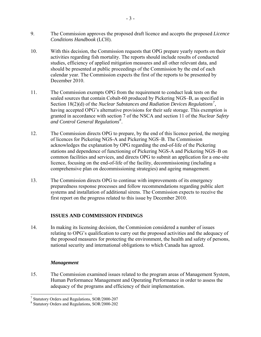- <span id="page-6-0"></span>9. The Commission approves the proposed draft licence and accepts the proposed *Licence Conditions Handbook* (LCH).
- 10. With this decision, the Commission requests that OPG prepare yearly reports on their activities regarding fish mortality. The reports should include results of conducted studies, efficiency of applied mitigation measures and all other relevant data, and should be presented at public proceedings of the Commission by the end of each calendar year. The Commission expects the first of the reports to be presented by December 2010.
- 11. The Commission exempts OPG from the requirement to conduct leak tests on the sealed sources that contain Cobalt-60 produced by Pickering NGS–B, as specified in Section 18(2)(d) of the *Nuclear Substances and Radiation Devices Regulations[7](#page-6-1)* , having accepted OPG's alternative provisions for their safe storage. This exemption is granted in accordance with section 7 of the NSCA and section 11 of the *Nuclear Safety and Control General Regulations[8](#page-6-2)* .
- 12. The Commission directs OPG to prepare, by the end of this licence period, the merging of licences for Pickering NGS-A and Pickering NGS–B. The Commission acknowledges the explanation by OPG regarding the end-of-life of the Pickering stations and dependence of functioning of Pickering NGS-A and Pickering NGS–B on common facilities and services, and directs OPG to submit an application for a one-site licence, focusing on the end-of-life of the facility, decommissioning (including a comprehensive plan on decommissioning strategies) and ageing management.
- 13. The Commission directs OPG to continue with improvements of its emergency preparedness response processes and follow recommendations regarding public alert systems and installation of additional sirens. The Commission expects to receive the first report on the progress related to this issue by December 2010.

## **ISSUES AND COMMISSION FINDINGS**

14. In making its licensing decision, the Commission considered a number of issues relating to OPG's qualification to carry out the proposed activities and the adequacy of the proposed measures for protecting the environment, the health and safety of persons, national security and international obligations to which Canada has agreed.

## *Management*

15. The Commission examined issues related to the program areas of Management System, Human Performance Management and Operating Performance in order to assess the adequacy of the programs and efficiency of their implementation.

<span id="page-6-1"></span> 7 Statutory Orders and Regulations, SOR/2000-207

<span id="page-6-2"></span><sup>8</sup> Statutory Orders and Regulations, SOR/2000-202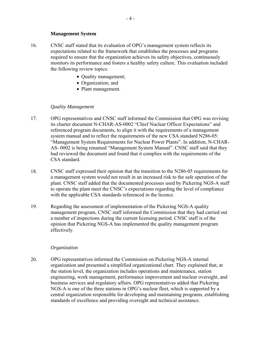#### **Management System**

- <span id="page-7-0"></span>16. CNSC staff stated that its evaluation of OPG's management system reflects its expectations related to the framework that establishes the processes and programs required to ensure that the organization achieves its safety objectives, continuously monitors its performance and fosters a healthy safety culture. This evaluation included the following review topics:
	- Quality management;
	- Organization; and
	- Plant management.

#### *Quality Management*

- 17. OPG representatives and CNSC staff informed the Commission that OPG was revising its charter document N-CHAR-AS-0002 "Chief Nuclear Officer Expectations" and referenced program documents, to align it with the requirements of a management system manual and to reflect the requirements of the new CSA standard N286-05: "Management System Requirements for Nuclear Power Plants". In addition, N-CHAR-AS- 0002 is being renamed "Management System Manual". CNSC staff said that they had reviewed the document and found that it complies with the requirements of the CSA standard.
- 18. CNSC staff expressed their opinion that the transition to the N286-05 requirements for a management system would not result in an increased risk to the safe operation of the plant. CNSC staff added that the documented processes used by Pickering NGS-A staff to operate the plant meet the CNSC's expectations regarding the level of compliance with the applicable CSA standards referenced in the licence.
- 19. Regarding the assessment of implementation of the Pickering NGS-A quality management program, CNSC staff informed the Commission that they had carried out a number of inspections during the current licensing period. CNSC staff is of the opinion that Pickering NGS-A has implemented the quality management program effectively.

#### *Organization*

20. OPG representatives informed the Commission on Pickering NGS-A internal organization and presented a simplified organizational chart. They explained that, at the station level, the organization includes operations and maintenance, station engineering, work management, performance improvement and nuclear oversight, and business services and regulatory affairs. OPG representatives added that Pickering NGS-A is one of the three stations in OPG's nuclear fleet, which is supported by a central organization responsible for developing and maintaining programs, establishing standards of excellence and providing oversight and technical assistance.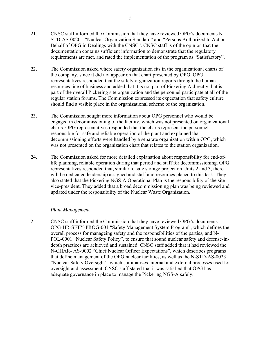- <span id="page-8-0"></span>22. The Commission asked where safety organization fits in the organizational charts of the company, since it did not appear on that chart presented by OPG. OPG representatives responded that the safety organization reports through the human resources line of business and added that it is not part of Pickering A directly, but is part of the overall Pickering site organization and the personnel participate at all of the regular station forums. The Commission expressed its expectation that safety culture should find a visible place in the organizational scheme of the organization.
- 23. The Commission sought more information about OPG personnel who would be engaged in decommissioning of the facility, which was not presented on organizational charts. OPG representatives responded that the charts represent the personnel responsible for safe and reliable operation of the plant and explained that decommissioning efforts were handled by a separate organization within OPG, which was not presented on the organization chart that relates to the station organization.
- 24. The Commission asked for more detailed explanation about responsibility for end-oflife planning, reliable operation during that period and staff for decommissioning. OPG representatives responded that, similar to safe storage project on Units 2 and 3, there will be dedicated leadership assigned and staff and resources placed to this task. They also stated that the Pickering NGS-A Operational Plan is the responsibility of the site vice-president. They added that a broad decommissioning plan was being reviewed and updated under the responsibility of the Nuclear Waste Organization.

## *Plant Management*

25. CNSC staff informed the Commission that they have reviewed OPG's documents OPG-HR-SFTY-PROG-001 "Safety Management System Program", which defines the overall process for manageing safety and the responsibilities of the parties, and N-POL-0001 "Nuclear Safety Policy", to ensure that sound nuclear safety and defense-indepth practices are achieved and sustained. CNSC staff added that it had reviewed the N-CHAR- AS-0002 "Chief Nuclear Officer Expectations", which describes programs that define management of the OPG nuclear facilities, as well as the N-STD-AS-0023 "Nuclear Safety Oversight", which summarizes internal and external processes used for oversight and assessment. CNSC staff stated that it was satisfied that OPG has adequate governance in place to manage the Pickering NGS-A safely.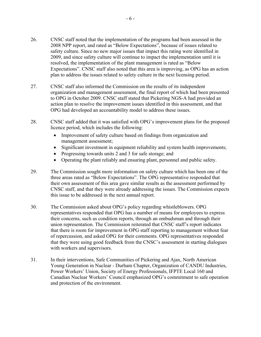- 26. CNSC staff noted that the implementation of the programs had been assessed in the 2008 NPP report, and rated as "Below Expectations", because of issues related to safety culture. Since no new major issues that impact this rating were identified in 2009, and since safety culture will continue to impact the implementation until it is resolved, the implementation of the plant management is rated as "Below Expectations". CNSC staff also noted that this area is improving, as OPG has an action plan to address the issues related to safety culture in the next licensing period.
- 27. CNSC staff also informed the Commission on the results of its independent organization and management assessment, the final report of which had been presented to OPG in October 2009. CNSC staff stated that Pickering NGS-A had provided an action plan to resolve the improvement issues identified in this assessment, and that OPG had developed an accountability model to address these issues.
- 28. CNSC staff added that it was satisfied with OPG's improvement plans for the proposed licence period, which includes the following:
	- Improvement of safety culture based on findings from organization and management assessment;
	- Significant investment in equipment reliability and system health improvements;
	- Progressing towards units 2 and 3 for safe storage; and
	- Operating the plant reliably and ensuring plant, personnel and public safety.
- 29. The Commission sought more information on safety culture which has been one of the three areas rated as "Below Expectations". The OPG representative responded that their own assessment of this area gave similar results as the assessment performed by CNSC staff, and that they were already addressing the issues. The Commission expects this issue to be addressed in the next annual report.
- 30. The Commission asked about OPG's policy regarding whistleblowers. OPG representatives responded that OPG has a number of means for employees to express their concerns, such as condition reports, through an ombudsman and through their union representation. The Commission reiterated that CNSC staff's report indicates that there is room for improvement in OPG staff reporting to management without fear of repercussion, and asked OPG for their comments. OPG representatives responded that they were using good feedback from the CNSC's assessment in starting dialogues with workers and supervisors.
- 31. In their interventions, Safe Communities of Pickering and Ajax, North American Young Generation in Nuclear - Durham Chapter, Organization of CANDU Industries, Power Workers' Union, Society of Energy Professionals, IFPTE Local 160 and Canadian Nuclear Workers' Council emphasized OPG's commitment to safe operation and protection of the environment.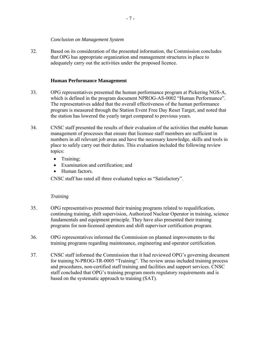#### *Conclusion on Management System*

<span id="page-10-0"></span>32. Based on its consideration of the presented information, the Commission concludes that OPG has appropriate organization and management structures in place to adequately carry out the activities under the proposed licence.

## **Human Performance Management**

- 33. OPG representatives presented the human performance program at Pickering NGS-A, which is defined in the program document NPROG-AS-0002 "Human Performance". The representatives added that the overall effectiveness of the human performance program is measured through the Station Event Free Day Reset Target, and noted that the station has lowered the yearly target compared to previous years.
- 34. CNSC staff presented the results of their evaluation of the activities that enable human management of processes that ensure that licensee staff members are sufficient in numbers in all relevant job areas and have the necessary knowledge, skills and tools in place to safely carry out their duties. This evaluation included the following review topics:
	- Training;
	- Examination and certification; and
	- Human factors.

CNSC staff has rated all three evaluated topics as "Satisfactory".

## *Training*

- 35. OPG representatives presented their training programs related to requalification, continuing training, shift supervision, Authorized Nuclear Operator in training, science fundamentals and equipment principle. They have also presented their training programs for non-licensed operators and shift supervisor certification program.
- 36. OPG representatives informed the Commission on planned improvements to the training programs regarding maintenance, engineering and operator certification.
- 37. CNSC staff informed the Commission that it had reviewed OPG's governing document for training N-PROG-TR-0005 "Training". The review areas included training process and procedures, non-certified staff training and facilities and support services. CNSC staff concluded that OPG's training program meets regulatory requirements and is based on the systematic approach to training (SAT).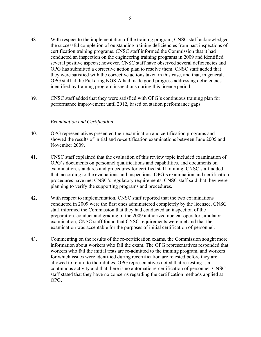- <span id="page-11-0"></span>38. With respect to the implementation of the training program, CNSC staff acknowledged the successful completion of outstanding training deficiencies from past inspections of certification training programs. CNSC staff informed the Commission that it had conducted an inspection on the engineering training programs in 2009 and identified several positive aspects; however, CNSC staff have observed several deficiencies and OPG has submitted a corrective action plan to resolve them. CNSC staff added that they were satisfied with the corrective actions taken in this case, and that, in general, OPG staff at the Pickering NGS-A had made good progress addressing deficiencies identified by training program inspections during this licence period.
- 39. CNSC staff added that they were satisfied with OPG's continuous training plan for performance improvement until 2012, based on station performance gaps.

#### *Examination and Certification*

- 40. OPG representatives presented their examination and certification programs and showed the results of initial and re-certification examinations between June 2005 and November 2009.
- 41. CNSC staff explained that the evaluation of this review topic included examination of OPG's documents on personnel qualifications and capabilities, and documents on examination, standards and procedures for certified staff training. CNSC staff added that, according to the evaluations and inspections, OPG's examination and certification procedures have met CNSC's regulatory requirements. CNSC staff said that they were planning to verify the supporting programs and procedures.
- 42. With respect to implementation, CNSC staff reported that the two examinations conducted in 2009 were the first ones administered completely by the licensee. CNSC staff informed the Commission that they had conducted an inspection of the preparation, conduct and grading of the 2009 authorized nuclear operator simulator examination; CNSC staff found that CNSC requirements were met and that the examination was acceptable for the purposes of initial certification of personnel.
- 43. Commenting on the results of the re-certification exams, the Commission sought more information about workers who fail the exam. The OPG representatives responded that workers who fail the initial tests are re-admitted to the training program, and workers for which issues were identified during recertification are retested before they are allowed to return to their duties. OPG representatives noted that re-testing is a continuous activity and that there is no automatic re-certification of personnel. CNSC staff stated that they have no concerns regarding the certification methods applied at OPG.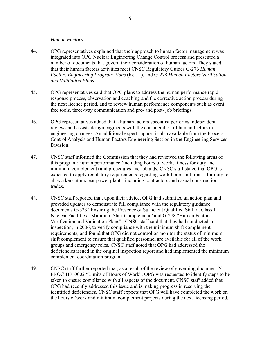#### *Human Factors*

- <span id="page-12-0"></span>44. OPG representatives explained that their approach to human factor management was integrated into OPG Nuclear Engineering Change Control process and presented a number of documents that govern their consideration of human factors. They stated that their human factors activities meet CNSC Regulatory Guides G-276 *Human Factors Engineering Program Plans* (Ref. 1), and G-278 *Human Factors Verification and Validation Plans.*
- 45. OPG representatives said that OPG plans to address the human performance rapid response process, observation and coaching and the corrective action process during the next licence period, and to review human performance components such as event free tools, three-way communication and pre- and post- job briefings.
- 46. OPG representatives added that a human factors specialist performs independent reviews and assists design engineers with the consideration of human factors in engineering changes. An additional expert support is also available from the Process Control Analysis and Human Factors Engineering Section in the Engineering Services **Division**
- 47. CNSC staff informed the Commission that they had reviewed the following areas of this program: human performance (including hours of work, fitness for duty and minimum complement) and procedures and job aids. CNSC staff stated that OPG is expected to apply regulatory requirements regarding work hours and fitness for duty to all workers at nuclear power plants, including contractors and casual construction trades.
- 48. CNSC staff reported that, upon their advice, OPG had submitted an action plan and provided updates to demonstrate full compliance with the regulatory guidance documents G-323 "Ensuring the Presence of Sufficient Qualified Staff at Class I Nuclear Facilities - Minimum Staff Complement" and G-278 "Human Factors Verification and Validation Plans". CNSC staff said that they had conducted an inspection, in 2006, to verify compliance with the minimum shift complement requirements, and found that OPG did not control or monitor the status of minimum shift complement to ensure that qualified personnel are available for all of the work groups and emergency roles. CNSC staff noted that OPG had addressed the deficiencies issued in the original inspection report and had implemented the minimum complement coordination program.
- 49. CNSC staff further reported that, as a result of the review of governing document N-PROC-HR-0002 "Limits of Hours of Work", OPG was requested to identify steps to be taken to ensure compliance with all aspects of the document. CNSC staff added that OPG had recently addressed this issue and is making progress in resolving the identified deficiencies. CNSC staff expects that OPG will have completed the work on the hours of work and minimum complement projects during the next licensing period.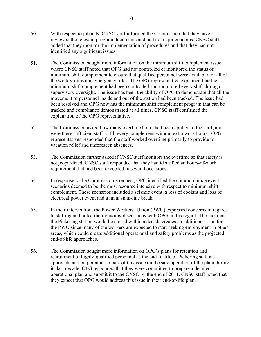- 50. With respect to job aids, CNSC staff informed the Commission that they have reviewed the relevant program documents and had no major concerns. CNSC staff added that they monitor the implementation of procedures and that they had not identified any significant issues.
- 51. The Commission sought more information on the minimum shift complement issue where CNSC staff noted that OPG had not controlled or monitored the status of minimum shift complement to ensure that qualified personnel were available for all of the work groups and emergency roles. The OPG representative explained that the minimum shift complement had been controlled and monitored every shift through supervisory oversight. The issue has been the ability of OPG to demonstrate that all the movement of personnel inside and out of the station had been tracked. The issue had been resolved and OPG now has the minimum shift complement program that can be tracked and compliance demonstrated at all times. CNSC staff confirmed the explanation of the OPG representative.
- 52. The Commission asked how many overtime hours had been applied to the staff, and were there sufficient staff to fill every complement without extra work hours. OPG representatives responded that the staff worked overtime primarily to provide for vacation relief and unforeseen absences.
- 53. The Commission further asked if CNSC staff monitors the overtime so that safety is not jeopardized. CNSC staff responded that they had identified an hours-of-work requirement that had been exceeded in several occasions.
- 54. In response to the Commission's request, OPG identified the common mode event scenarios deemed to be the most resource intensive with respect to minimum shift complement. These scenarios included a seismic event, a loss of coolant and loss of electrical power event and a main stain-line break.
- 55. In their intervention, the Power Workers' Union (PWU) expressed concerns in regards to staffing and noted their ongoing discussions with OPG in this regard. The fact that the Pickering station would be closed within a decade creates an additional issue for the PWU since many of the workers are expected to start seeking employment in other areas, which could create additional operational and safety problems as the projected end-of-life approaches.
- 56. The Commission sought more information on OPG's plans for retention and recruitment of highly-qualified personnel as the end-of-life of Pickering stations approach, and on potential impact of this issue on the safe operation of the plant during its last decade. OPG responded that they were committed to prepare a detailed operational plan and submit it to the CNSC by the end of 2011. CNSC staff noted that they expect that OPG would address this issue in their end-of-life plan.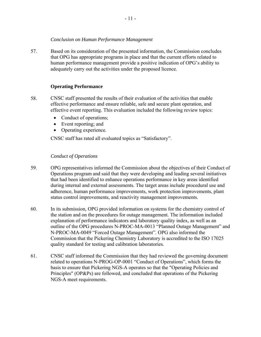## *Conclusion on Human Performance Management*

<span id="page-14-0"></span>57. Based on its consideration of the presented information, the Commission concludes that OPG has appropriate programs in place and that the current efforts related to human performance management provide a positive indication of OPG's ability to adequately carry out the activities under the proposed licence.

## **Operating Performance**

- 58. CNSC staff presented the results of their evaluation of the activities that enable effective performance and ensure reliable, safe and secure plant operation, and effective event reporting. This evaluation included the following review topics:
	- Conduct of operations;
	- Event reporting; and
	- Operating experience.

CNSC staff has rated all evaluated topics as "Satisfactory".

## *Conduct of Operations*

- 59. OPG representatives informed the Commission about the objectives of their Conduct of Operations program and said that they were developing and leading several initiatives that had been identified to enhance operations performance in key areas identified during internal and external assessments. The target areas include procedural use and adherence, human performance improvements, work protection improvements, plant status control improvements, and reactivity management improvements.
- 60. In its submission, OPG provided information on systems for the chemistry control of the station and on the procedures for outage management. The information included explanation of performance indicators and laboratory quality index, as well as an outline of the OPG procedures N-PROC-MA-0013 "Planned Outage Management" and N-PROC-MA-0049 "Forced Outage Management". OPG also informed the Commission that the Pickering Chemistry Laboratory is accredited to the ISO 17025 quality standard for testing and calibration laboratories.
- 61. CNSC staff informed the Commission that they had reviewed the governing document related to operations N-PROG-OP-0001 "Conduct of Operations", which forms the basis to ensure that Pickering NGS-A operates so that the "Operating Policies and Principles" (OP&Ps) are followed, and concluded that operations of the Pickering NGS-A meet requirements.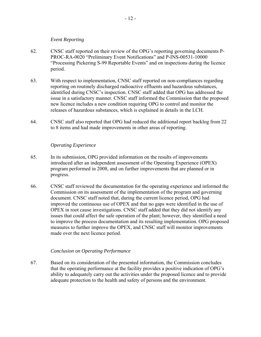#### *Event Reporting*

- <span id="page-15-0"></span>62. CNSC staff reported on their review of the OPG's reporting governing documents P-PROC-RA-0020 "Preliminary Event Notifications" and P-INS-00531-10000 "Processing Pickering S-99 Reportable Events" and on inspections during the licence period.
- 63. With respect to implementation, CNSC staff reported on non-compliances regarding reporting on routinely discharged radioactive effluents and hazardous substances, identified during CNSC's inspection. CNSC staff added that OPG has addressed the issue in a satisfactory manner. CNSC staff informed the Commission that the proposed new licence includes a new condition requiring OPG to control and monitor the releases of hazardous substances, which is explained in details in the LCH.
- 64. CNSC staff also reported that OPG had reduced the additional report backlog from 22 to 8 items and had made improvements in other areas of reporting.

## *Operating Experience*

- 65. In its submission, OPG provided information on the results of improvements introduced after an independent assessment of the Operating Experience (OPEX) program performed in 2008, and on further improvements that are planned or in progress.
- 66. CNSC staff reviewed the documentation for the operating experience and informed the Commission on its assessment of the implementation of the program and governing document. CNSC staff noted that, during the current licence period, OPG had improved the continuous use of OPEX and that no gaps were identified in the use of OPEX in root cause investigations. CNSC staff added that they did not identify any issues that could affect the safe operation of the plant; however, they identified a need to improve the process documentation and its resulting implementation. OPG proposed measures to further improve the OPEX, and CNSC staff will monitor improvements made over the next licence period.

## *Conclusion on Operating Performance*

67. Based on its consideration of the presented information, the Commission concludes that the operating performance at the facility provides a positive indication of OPG's ability to adequately carry out the activities under the proposed licence and to provide adequate protection to the health and safety of persons and the environment.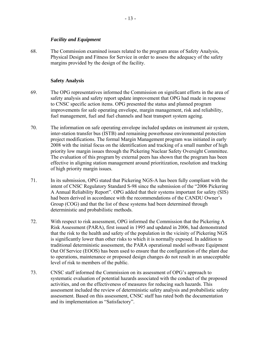## *Facility and Equipment*

<span id="page-16-0"></span>68. The Commission examined issues related to the program areas of Safety Analysis, Physical Design and Fitness for Service in order to assess the adequacy of the safety margins provided by the design of the facility.

## **Safety Analysis**

- 69. The OPG representatives informed the Commission on significant efforts in the area of safety analysis and safety report update improvement that OPG had made in response to CNSC specific action items. OPG presented the status and planned program improvements for safe operating envelope, margin management, risk and reliability, fuel management, fuel and fuel channels and heat transport system ageing.
- 70. The information on safe operating envelope included updates on instrument air system, inter-station transfer bus (ISTB) and remaining powerhouse environmental protection project modifications. The formal Margin Management program was initiated in early 2008 with the initial focus on the identification and tracking of a small number of high priority low margin issues through the Pickering Nuclear Safety Oversight Committee. The evaluation of this program by external peers has shown that the program has been effective in aligning station management around prioritization, resolution and tracking of high priority margin issues.
- 71. In its submission, OPG stated that Pickering NGS-A has been fully compliant with the intent of CNSC Regulatory Standard S-98 since the submission of the "2006 Pickering A Annual Reliability Report". OPG added that their systems important for safety (SIS) had been derived in accordance with the recommendations of the CANDU Owner's Group (COG) and that the list of these systems had been determined through deterministic and probabilistic methods.
- 72. With respect to risk assessment, OPG informed the Commission that the Pickering A Risk Assessment (PARA), first issued in 1995 and updated in 2006, had demonstrated that the risk to the health and safety of the population in the vicinity of Pickering NGS is significantly lower than other risks to which it is normally exposed. In addition to traditional deterministic assessment, the PARA operational model software Equipment Out Of Service (EOOS) has been used to ensure that the configuration of the plant due to operations, maintenance or proposed design changes do not result in an unacceptable level of risk to members of the public.
- 73. CNSC staff informed the Commission on its assessment of OPG's approach to systematic evaluation of potential hazards associated with the conduct of the proposed activities, and on the effectiveness of measures for reducing such hazards. This assessment included the review of deterministic safety analysis and probabilistic safety assessment. Based on this assessment, CNSC staff has rated both the documentation and its implementation as "Satisfactory".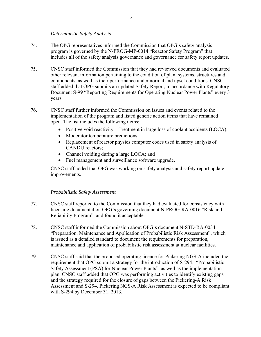## *Deterministic Safety Analysis*

- <span id="page-17-0"></span>74. The OPG representatives informed the Commission that OPG's safety analysis program is governed by the N-PROG-MP-0014 "Reactor Safety Program" that includes all of the safety analysis governance and governance for safety report updates.
- 75. CNSC staff informed the Commission that they had reviewed documents and evaluated other relevant information pertaining to the condition of plant systems, structures and components, as well as their performance under normal and upset conditions. CNSC staff added that OPG submits an updated Safety Report, in accordance with Regulatory Document S-99 "Reporting Requirements for Operating Nuclear Power Plants" every 3 years.
- 76. CNSC staff further informed the Commission on issues and events related to the implementation of the program and listed generic action items that have remained open. The list includes the following items:
	- Positive void reactivity Treatment in large loss of coolant accidents (LOCA);
	- Moderator temperature predictions;
	- Replacement of reactor physics computer codes used in safety analysis of CANDU reactors;
	- Channel voiding during a large LOCA; and
	- Fuel management and surveillance software upgrade.

CNSC staff added that OPG was working on safety analysis and safety report update improvements.

## *Probabilistic Safety Assessment*

- 77. CNSC staff reported to the Commission that they had evaluated for consistency with licensing documentation OPG's governing document N-PROG-RA-0016 "Risk and Reliability Program", and found it acceptable.
- 78. CNSC staff informed the Commission about OPG's document N-STD-RA-0034 "Preparation, Maintenance and Application of Probabilistic Risk Assessment", which is issued as a detailed standard to document the requirements for preparation, maintenance and application of probabilistic risk assessment at nuclear facilities.
- 79. CNSC staff said that the proposed operating licence for Pickering NGS-A included the requirement that OPG submit a strategy for the introduction of S-294: "Probabilistic Safety Assessment (PSA) for Nuclear Power Plants", as well as the implementation plan. CNSC staff added that OPG was performing activities to identify existing gaps and the strategy required for the closure of gaps between the Pickering-A Risk Assessment and S-294. Pickering NGS-A Risk Assessment is expected to be compliant with S-294 by December 31, 2013.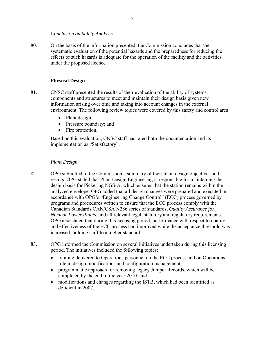## *Conclusion on Safety Analysis*

<span id="page-18-0"></span>80. On the basis of the information presented, the Commission concludes that the systematic evaluation of the potential hazards and the preparedness for reducing the effects of such hazards is adequate for the operation of the facility and the activities under the proposed licence.

## **Physical Design**

- 81. CNSC staff presented the results of their evaluation of the ability of systems, components and structures to meet and maintain their design basis given new information arising over time and taking into account changes in the external environment. The following review topics were covered by this safety and control area:
	- Plant design;
	- Pressure boundary; and
	- Fire protection.

Based on this evaluation, CNSC staff has rated both the documentation and its implementation as "Satisfactory".

## *Plant Design*

- 82. OPG submitted to the Commission a summary of their plant design objectives and results. OPG stated that Plant Design Engineering is responsible for maintaining the design basis for Pickering NGS-A, which ensures that the station remains within the analyzed envelope. OPG added that all design changes were prepared and executed in accordance with OPG's "Engineering Change Control" (ECC) process governed by programs and procedures written to ensure that the ECC process comply with the Canadian Standards CAN/CSA N286 series of standards, *Quality Assurance for Nuclear Power Plants,* and all relevant legal, statutory and regulatory requirements. OPG also stated that during this licensing period, performance with respect to quality and effectiveness of the ECC process had improved while the acceptance threshold was increased, holding staff to a higher standard.
- 83. OPG informed the Commission on several initiatives undertaken during this licensing period. The initiatives included the following topics:
	- training delivered to Operations personnel on the ECC process and on Operations role in design modifications and configuration management;
	- programmatic approach for removing legacy Jumper Records, which will be completed by the end of the year 2010; and
	- modifications and changes regarding the ISTB, which had been identified as deficient in 2007.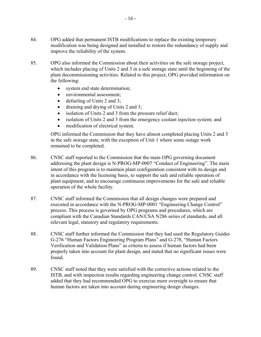- 84. OPG added that permanent ISTB modifications to replace the existing temporary modification was being designed and installed to restore the redundancy of supply and improve the reliability of the system.
- 85. OPG also informed the Commission about their activities on the safe storage project, which includes placing of Units 2 and 3 in a safe storage state until the beginning of the plant decommissioning activities. Related to this project, OPG provided information on the following:
	- system end state determination;
	- environmental assessment;
	- defueling of Units 2 and 3;
	- draining and drying of Units 2 and 3;
	- isolation of Units 2 and 3 from the pressure relief duct;
	- isolation of Units 2 and 3 from the emergency coolant injection system; and
	- modification of electrical system.

OPG informed the Commission that they have almost completed placing Units 2 and 3 in the safe storage state, with the exception of Unit 1 where some outage work remained to be completed.

- 86. CNSC staff reported to the Commission that the main OPG governing document addressing the plant design is N-PROG-MP-0007 "Conduct of Engineering". The main intent of this program is to maintain plant configuration consistent with its design and in accordance with the licensing basis, to support the safe and reliable operation of plant equipment, and to encourage continuous improvements for the safe and reliable operation of the whole facility.
- 87. CNSC staff informed the Commission that all design changes were prepared and executed in accordance with the N-PROG-MP-0001 "Engineering Change Control" process. This process is governed by OPG programs and procedures, which are compliant with the Canadian Standards CAN/CSA N286 series of standards, and all relevant legal, statutory and regulatory requirements.
- 88. CNSC staff further informed the Commission that they had used the Regulatory Guides G-276 "Human Factors Engineering Program Plans" and G-278, "Human Factors Verification and Validation Plans" as criteria to assess if human factors had been properly taken into account for plant design, and stated that no significant issues were found.
- 89. CNSC staff noted that they were satisfied with the corrective actions related to the ISTB, and with inspection results regarding engineering change control. CNSC staff added that they had recommended OPG to exercise more oversight to ensure that human factors are taken into account during engineering design changes.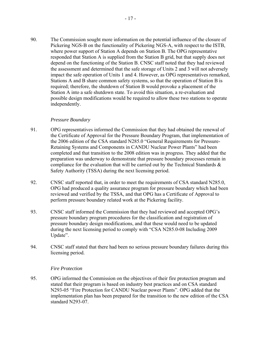<span id="page-20-0"></span>90. The Commission sought more information on the potential influence of the closure of Pickering NGS-B on the functionality of Pickering NGS-A, with respect to the ISTB, where power support of Station A depends on Station B. The OPG representative responded that Station A is supplied from the Station B grid, but that supply does not depend on the functioning of the Station B. CNSC staff noted that they had reviewed the assessment and determined that the safe storage of Units 2 and 3 will not adversely impact the safe operation of Units 1 and 4. However, as OPG representatives remarked, Stations A and B share common safety systems, so that the operation of Station B is required; therefore, the shutdown of Station B would provoke a placement of the Station A into a safe shutdown state. To avoid this situation, a re-evaluation and possible design modifications would be required to allow these two stations to operate independently.

## *Pressure Boundary*

- 91. OPG representatives informed the Commission that they had obtained the renewal of the Certificate of Approval for the Pressure Boundary Program, that implementation of the 2006 edition of the CSA standard N285.0 "General Requirements for Pressure-Retaining Systems and Components in CANDU Nuclear Power Plants" had been completed and that transition to the 2008 edition was in progress. They added that the preparation was underway to demonstrate that pressure boundary processes remain in compliance for the evaluation that will be carried out by the Technical Standards  $\&$ Safety Authority (TSSA) during the next licensing period.
- 92. CNSC staff reported that, in order to meet the requirements of CSA standard N285.0, OPG had produced a quality assurance program for pressure boundary which had been reviewed and verified by the TSSA, and that OPG has a Certificate of Approval to perform pressure boundary related work at the Pickering facility.
- 93. CNSC staff informed the Commission that they had reviewed and accepted OPG's pressure boundary program procedures for the classification and registration of pressure boundary design modifications, and that these would need to be updated during the next licensing period to comply with "CSA N285.0-08 Including 2009 Update".
- 94. CNSC staff stated that there had been no serious pressure boundary failures during this licensing period.

## *Fire Protection*

95. OPG informed the Commission on the objectives of their fire protection program and stated that their program is based on industry best practices and on CSA standard N293-05 "Fire Protection for CANDU Nuclear power Plants". OPG added that the implementation plan has been prepared for the transition to the new edition of the CSA standard N293-07.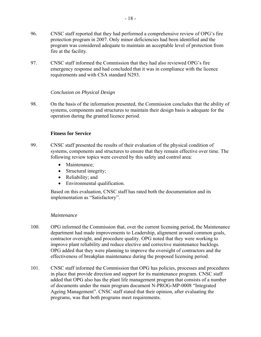<span id="page-21-0"></span>97. CNSC staff informed the Commission that they had also reviewed OPG's fire emergency response and had concluded that it was in compliance with the licence requirements and with CSA standard N293.

## *Conclusion on Physical Design*

98. On the basis of the information presented, the Commission concludes that the ability of systems, components and structures to maintain their design basis is adequate for the operation during the granted licence period.

## **Fitness for Service**

- 99. CNSC staff presented the results of their evaluation of the physical condition of systems, components and structures to ensure that they remain effective over time. The following review topics were covered by this safety and control area:
	- Maintenance:
	- Structural integrity;
	- Reliability; and
	- Environmental qualification.

Based on this evaluation, CNSC staff has rated both the documentation and its implementation as "Satisfactory".

## *Maintenance*

- 100. OPG informed the Commission that, over the current licensing period, the Maintenance department had made improvements to Leadership, alignment around common goals, contractor oversight, and procedure quality. OPG noted that they were working to improve plant reliability and reduce elective and corrective maintenance backlogs. OPG added that they were planning to improve the oversight of contractors and the effectiveness of breakplan maintenance during the proposed licensing period.
- 101. CNSC staff informed the Commission that OPG has policies, processes and procedures in place that provide direction and support for its maintenance program. CNSC staff added that OPG also has the plant life management program that consists of a number of documents under the main program document N-PROG-MP-0008 "Integrated Ageing Management". CNSC staff stated that their opinion, after evaluating the programs, was that both programs meet requirements.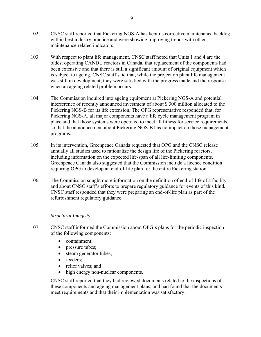- <span id="page-22-0"></span>102. CNSC staff reported that Pickering NGS-A has kept its corrective maintenance backlog within best industry practice and were showing improving trends with other maintenance related indicators.
- 103. With respect to plant life management, CNSC staff noted that Units 1 and 4 are the oldest operating CANDU reactors in Canada, that replacement of the components had been extensive and that there is still a significant amount of original equipment which is subject to ageing. CNSC staff said that, while the project on plant life management was still in development, they were satisfied with the progress made and the response when an ageing related problem occurs.
- 104. The Commission inquired into ageing equipment at Pickering NGS-A and potential interference of recently announced investment of about \$ 300 million allocated to the Pickering NGS-B for its life extension. The OPG representative responded that, for Pickering NGS-A, all major components have a life cycle management program in place and that those systems were operated to meet all fitness for service requirements, so that the announcement about Pickering NGS-B has no impact on those management programs.
- 105. In its intervention, Greenpeace Canada requested that OPG and the CNSC release annually all studies used to rationalize the design life of the Pickering reactors, including information on the expected life-span of all life-limiting components. Greenpeace Canada also suggested that the Commission include a licence condition requiring OPG to develop an end-of-life plan for the entire Pickering station.
- 106. The Commission sought more information on the definition of end-of-life of a facility and about CNSC staff's efforts to prepare regulatory guidance for events of this kind. CNSC staff responded that they were preparing an end-of-life plan as part of the refurbishment regulatory guidance.

## *Structural Integrity*

- 107. CNSC staff informed the Commission about OPG's plans for the periodic inspection of the following components:
	- containment;
	- pressure tubes;
	- steam generator tubes;
	- feeders:
	- relief valves; and
	- high energy non-nuclear components.

CNSC staff reported that they had reviewed documents related to the inspections of these components and ageing management plans, and had found that the documents meet requirements and that their implementation was satisfactory.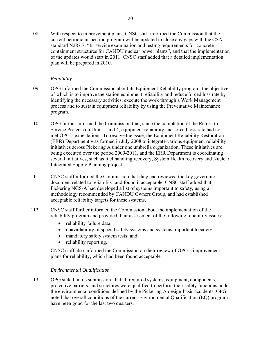<span id="page-23-0"></span>108. With respect to improvement plans, CNSC staff informed the Commission that the current periodic inspection program will be updated to close any gaps with the CSA standard N287.7: "In-service examination and testing requirements for concrete containment structures for CANDU nuclear power plants", and that the implementation of the updates would start in 2011. CNSC staff added that a detailed implementation plan will be prepared in 2010.

## *Reliability*

- 109. OPG informed the Commission about its Equipment Reliability program, the objective of which is to improve the station equipment reliability and reduce forced loss rate by identifying the necessary activities, execute the work through a Work Management process and to sustain equipment reliability by using the Preventative Maintenance program.
- 110. OPG further informed the Commission that, since the completion of the Return to Service Projects on Units 1 and 4, equipment reliability and forced loss rate had not met OPG's expectations. To resolve the issue, the Equipment Reliability Restoration (ERR) Department was formed in July 2008 to integrate various equipment reliability initiatives across Pickering A under one umbrella organization. These initiatives are being executed over the period 2009-2011, and the ERR Department is coordinating several initiatives, such as fuel handling recovery, System Health recovery and Nuclear Integrated Supply Planning project.
- 111. CNSC staff informed the Commission that they had reviewed the key governing document related to reliability, and found it acceptable. CNSC staff added that Pickering NGS-A had developed a list of systems important to safety, using a methodology recommended by CANDU Owners Group, and had established acceptable reliability targets for these systems.
- 112. CNSC staff further informed the Commission about the implementation of the reliability program and provided their assessment of the following reliability issues:
	- reliability failure data;
	- unavailability of special safety systems and systems important to safety;
	- mandatory safety system tests; and
	- reliability reporting.

CNSC staff also informed the Commission on their review of OPG's improvement plans for reliability, which had been found acceptable.

## *Environmental Qualification*

113. OPG stated, in its submission, that all required systems, equipment, components, protective barriers, and structures were qualified to perform their safety functions under the environmental conditions defined by the Pickering A design-basis accidents. OPG noted that overall conditions of the current Environmental Qualification (EQ) program have been good for the last two quarters.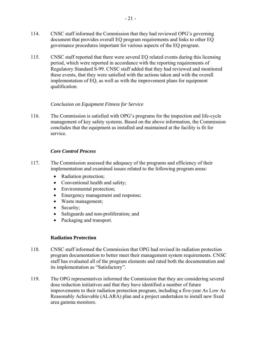- <span id="page-24-0"></span>114. CNSC staff informed the Commission that they had reviewed OPG's governing document that provides overall EQ program requirements and links to other EQ governance procedures important for various aspects of the EQ program.
- 115. CNSC staff reported that there were several EQ related events during this licensing period, which were reported in accordance with the reporting requirements of Regulatory Standard S-99. CNSC staff added that they had reviewed and monitored these events, that they were satisfied with the actions taken and with the overall implementation of EQ, as well as with the improvement plans for equipment qualification.

## *Conclusion on Equipment Fitness for Service*

116. The Commission is satisfied with OPG's programs for the inspection and life-cycle management of key safety systems. Based on the above information, the Commission concludes that the equipment as installed and maintained at the facility is fit for service.

## *Core Control Process*

- 117. The Commission assessed the adequacy of the programs and efficiency of their implementation and examined issues related to the following program areas:
	- Radiation protection;
	- Conventional health and safety;
	- Environmental protection;
	- Emergency management and response;
	- Waste management;
	- Security;
	- Safeguards and non-proliferation; and
	- Packaging and transport.

## **Radiation Protection**

- 118. CNSC staff informed the Commission that OPG had revised its radiation protection program documentation to better meet their management system requirements. CNSC staff has evaluated all of the program elements and rated both the documentation and its implementation as "Satisfactory".
- 119. The OPG representatives informed the Commission that they are considering several dose reduction initiatives and that they have identified a number of future improvements to their radiation protection program, including a five-year As Low As Reasonably Achievable (ALARA) plan and a project undertaken to install new fixed area gamma monitors.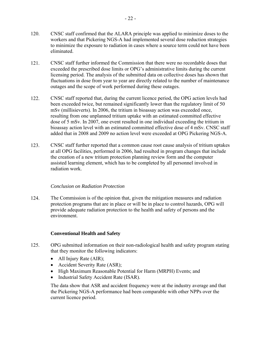- <span id="page-25-0"></span>120. CNSC staff confirmed that the ALARA principle was applied to minimize doses to the workers and that Pickering NGS-A had implemented several dose reduction strategies to minimize the exposure to radiation in cases where a source term could not have been eliminated.
- 121. CNSC staff further informed the Commission that there were no recordable doses that exceeded the prescribed dose limits or OPG's administrative limits during the current licensing period. The analysis of the submitted data on collective doses has shown that fluctuations in dose from year to year are directly related to the number of maintenance outages and the scope of work performed during these outages.
- 122. CNSC staff reported that, during the current licence period, the OPG action levels had been exceeded twice, but remained significantly lower than the regulatory limit of 50 mSv (millisieverts). In 2006, the tritium in bioassay action was exceeded once, resulting from one unplanned tritium uptake with an estimated committed effective dose of 5 mSv. In 2007, one event resulted in one individual exceeding the tritium in bioassay action level with an estimated committed effective dose of 4 mSv. CNSC staff added that in 2008 and 2009 no action level were exceeded at OPG Pickering NGS-A.
- 123. CNSC staff further reported that a common cause root cause analysis of tritium uptakes at all OPG facilities, performed in 2006, had resulted in program changes that include the creation of a new tritium protection planning review form and the computer assisted learning element, which has to be completed by all personnel involved in radiation work.

# *Conclusion on Radiation Protection*

124. The Commission is of the opinion that, given the mitigation measures and radiation protection programs that are in place or will be in place to control hazards, OPG will provide adequate radiation protection to the health and safety of persons and the environment.

# **Conventional Health and Safety**

- 125. OPG submitted information on their non-radiological health and safety program stating that they monitor the following indicators:
	- All Injury Rate (AIR);
	- Accident Severity Rate (ASR);
	- High Maximum Reasonable Potential for Harm (MRPH) Events; and
	- Industrial Safety Accident Rate (ISAR).

The data show that ASR and accident frequency were at the industry average and that the Pickering NGS-A performance had been comparable with other NPPs over the current licence period.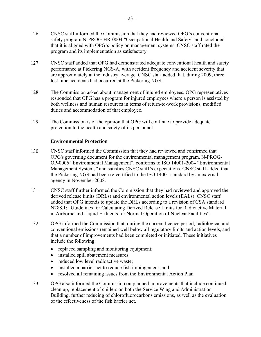- <span id="page-26-0"></span>126. CNSC staff informed the Commission that they had reviewed OPG's conventional safety program N-PROG-HR-0004 "Occupational Health and Safety" and concluded that it is aligned with OPG's policy on management systems. CNSC staff rated the program and its implementation as satisfactory.
- 127. CNSC staff added that OPG had demonstrated adequate conventional health and safety performance at Pickering NGS-A, with accident frequency and accident severity that are approximately at the industry average. CNSC staff added that, during 2009, three lost time accidents had occurred at the Pickering NGS.
- 128. The Commission asked about management of injured employees. OPG representatives responded that OPG has a program for injured employees where a person is assisted by both wellness and human resources in terms of return-to-work provisions, modified duties and accommodation of that employee.
- 129. The Commission is of the opinion that OPG will continue to provide adequate protection to the health and safety of its personnel.

## **Environmental Protection**

- 130. CNSC staff informed the Commission that they had reviewed and confirmed that OPG's governing document for the environmental management program, N-PROG-OP-0006 "Environmental Management", conforms to ISO 14001-2004 "Environmental Management Systems" and satisfies CNSC staff's expectations. CNSC staff added that the Pickering NGS had been re-certified to the ISO 14001 standard by an external agency in November 2008.
- 131. CNSC staff further informed the Commission that they had reviewed and approved the derived release limits (DRLs) and environmental action levels (EALs). CNSC staff added that OPG intends to update the DRLs according to a revision of CSA standard N288.1: "Guidelines for Calculating Derived Release Limits for Radioactive Material in Airborne and Liquid Effluents for Normal Operation of Nuclear Facilities".
- 132. OPG informed the Commission that, during the current licence period, radiological and conventional emissions remained well below all regulatory limits and action levels, and that a number of improvements had been completed or initiated. These initiatives include the following:
	- replaced sampling and monitoring equipment;
	- installed spill abatement measures;
	- reduced low level radioactive waste:
	- installed a barrier net to reduce fish impingement; and
	- resolved all remaining issues from the Environmental Action Plan.
- 133. OPG also informed the Commission on planned improvements that include continued clean up, replacement of chillers on both the Service Wing and Administration Building, further reducing of chlorofluorocarbons emissions, as well as the evaluation of the effectiveness of the fish barrier net.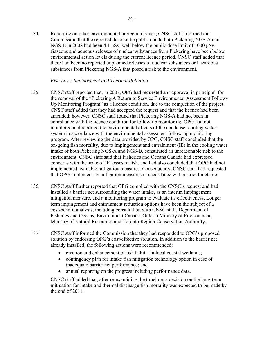<span id="page-27-0"></span>134. Reporting on other environmental protection issues, CNSC staff informed the Commission that the reported dose to the public due to both Pickering NGS-A and NGS-B in 2008 had been 4.1 μSv, well below the public dose limit of 1000 μSv. Gaseous and aqueous releases of nuclear substances from Pickering have been below environmental action levels during the current licence period. CNSC staff added that there had been no reported unplanned releases of nuclear substances or hazardous substances from Pickering NGS-A that posed a risk to the environment.

## *Fish Loss: Impingement and Thermal Pollution*

- 135. CNSC staff reported that, in 2007, OPG had requested an "approval in principle" for the removal of the "Pickering A Return to Service Environmental Assessment Follow-Up Monitoring Program" as a license condition, due to the completion of the project. CNSC staff added that they had accepted the request and that the licence had been amended; however, CNSC staff found that Pickering NGS-A had not been in compliance with the licence condition for follow-up monitoring. OPG had not monitored and reported the environmental effects of the condenser cooling water system in accordance with the environmental assessment follow-up monitoring program. After reviewing the data provided by OPG, CNSC staff concluded that the on-going fish mortality, due to impingement and entrainment (IE) in the cooling water intake of both Pickering NGS-A and NGS-B, constituted an unreasonable risk to the environment. CNSC staff said that Fisheries and Oceans Canada had expressed concerns with the scale of IE losses of fish, and had also concluded that OPG had not implemented available mitigation measures. Consequently, CNSC staff had requested that OPG implement IE mitigation measures in accordance with a strict timetable.
- 136. CNSC staff further reported that OPG complied with the CNSC's request and had installed a barrier net surrounding the water intake, as an interim impingement mitigation measure, and a monitoring program to evaluate its effectiveness. Longer term impingement and entrainment reduction options have been the subject of a cost-benefit analysis, including consultation with CNSC staff, Department of Fisheries and Oceans, Environment Canada, Ontario Ministry of Environment, Ministry of Natural Resources and Toronto Region Conservation Authority.
- 137. CNSC staff informed the Commission that they had responded to OPG's proposed solution by endorsing OPG's cost-effective solution. In addition to the barrier net already installed, the following actions were recommended:
	- creation and enhancement of fish habitat in local coastal wetlands;
	- contingency plan for intake fish mitigation technology option in case of inadequate barrier net performance; and
	- annual reporting on the progress including performance data.

CNSC staff added that, after re-examining the timeline, a decision on the long-term mitigation for intake and thermal discharge fish mortality was expected to be made by the end of 2011.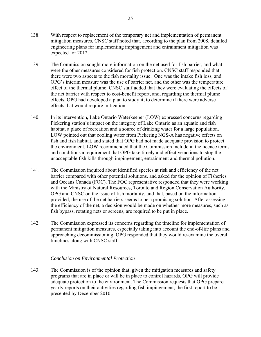- <span id="page-28-0"></span>138. With respect to replacement of the temporary net and implementation of permanent mitigation measures, CNSC staff noted that, according to the plan from 2008, detailed engineering plans for implementing impingement and entrainment mitigation was expected for 2012.
- 139. The Commission sought more information on the net used for fish barrier, and what were the other measures considered for fish protection. CNSC staff responded that there were two aspects to the fish mortality issue. One was the intake fish loss, and OPG's interim measure was the use of barrier net, and the other was the temperature effect of the thermal plume. CNSC staff added that they were evaluating the effects of the net barrier with respect to cost-benefit report, and, regarding the thermal plume effects, OPG had developed a plan to study it, to determine if there were adverse effects that would require mitigation.
- 140. In its intervention, Lake Ontario Waterkeeper (LOW) expressed concerns regarding Pickering station's impact on the integrity of Lake Ontario as an aquatic and fish habitat, a place of recreation and a source of drinking water for a large population. LOW pointed out that cooling water from Pickering NGS-A has negative effects on fish and fish habitat, and stated that OPG had not made adequate provision to protect the environment. LOW recommended that the Commission include in the licence terms and conditions a requirement that OPG take timely and effective actions to stop the unacceptable fish kills through impingement, entrainment and thermal pollution.
- 141. The Commission inquired about identified species at risk and efficiency of the net barrier compared with other potential solutions, and asked for the opinion of Fisheries and Oceans Canada (FOC). The FOC representative responded that they were working with the Ministry of Natural Resources, Toronto and Region Conservation Authority, OPG and CNSC on the issue of fish mortality, and that, based on the information provided, the use of the net barriers seems to be a promising solution. After assessing the efficiency of the net, a decision would be made on whether more measures, such as fish bypass, rotating nets or screens, are required to be put in place.
- 142. The Commission expressed its concerns regarding the timeline for implementation of permanent mitigation measures, especially taking into account the end-of-life plans and approaching decommissioning. OPG responded that they would re-examine the overall timelines along with CNSC staff.

## *Conclusion on Environmental Protection*

143. The Commission is of the opinion that, given the mitigation measures and safety programs that are in place or will be in place to control hazards, OPG will provide adequate protection to the environment. The Commission requests that OPG prepare yearly reports on their activities regarding fish impingement, the first report to be presented by December 2010.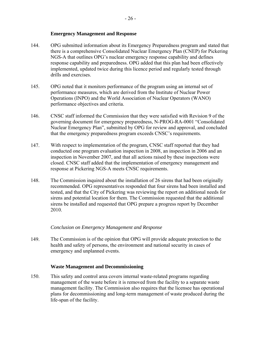## **Emergency Management and Response**

- <span id="page-29-0"></span>144. OPG submitted information about its Emergency Preparedness program and stated that there is a comprehensive Consolidated Nuclear Emergency Plan (CNEP) for Pickering NGS-A that outlines OPG's nuclear emergency response capability and defines response capability and preparedness. OPG added that this plan had been effectively implemented, updated twice during this licence period and regularly tested through drills and exercises.
- 145. OPG noted that it monitors performance of the program using an internal set of performance measures, which are derived from the Institute of Nuclear Power Operations (INPO) and the World Association of Nuclear Operators (WANO) performance objectives and criteria.
- 146. CNSC staff informed the Commission that they were satisfied with Revision 9 of the governing document for emergency preparedness, N-PROG-RA-0001 "Consolidated Nuclear Emergency Plan", submitted by OPG for review and approval, and concluded that the emergency preparedness program exceeds CNSC's requirements.
- 147. With respect to implementation of the program, CNSC staff reported that they had conducted one program evaluation inspection in 2008, an inspection in 2006 and an inspection in November 2007, and that all actions raised by these inspections were closed. CNSC staff added that the implementation of emergency management and response at Pickering NGS-A meets CNSC requirements.
- 148. The Commission inquired about the installation of 26 sirens that had been originally recommended. OPG representatives responded that four sirens had been installed and tested, and that the City of Pickering was reviewing the report on additional needs for sirens and potential location for them. The Commission requested that the additional sirens be installed and requested that OPG prepare a progress report by December 2010.

## *Conclusion on Emergency Management and Response*

149. The Commission is of the opinion that OPG will provide adequate protection to the health and safety of persons, the environment and national security in cases of emergency and unplanned events.

## **Waste Management and Decommissioning**

150. This safety and control area covers internal waste-related programs regarding management of the waste before it is removed from the facility to a separate waste management facility. The Commission also requires that the licensee has operational plans for decommissioning and long-term management of waste produced during the life-span of the facility.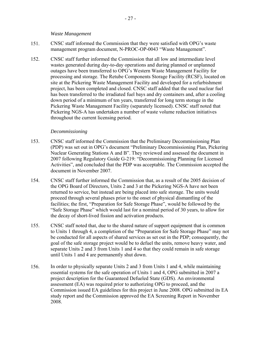#### *Waste Management*

- <span id="page-30-0"></span>151. CNSC staff informed the Commission that they were satisfied with OPG's waste management program document, N-PROC-OP-0043 "Waste Management".
- 152. CNSC staff further informed the Commission that all low and intermediate level wastes generated during day-to-day operations and during planned or unplanned outages have been transferred to OPG's Western Waste Management Facility for processing and storage. The Retube Components Storage Facility (RCSF), located on site at the Pickering Waste Management Facility and developed for a refurbishment project, has been completed and closed. CNSC staff added that the used nuclear fuel has been transferred to the irradiated fuel bays and dry containers and, after a cooling down period of a minimum of ten years, transferred for long term storage in the Pickering Waste Management Facility (separately licensed). CNSC staff noted that Pickering NGS-A has undertaken a number of waste volume reduction initiatives throughout the current licensing period.

## *Decommissioning*

- 153. CNSC staff informed the Commission that the Preliminary Decommissioning Plan (PDP) was set out in OPG's document "Preliminary Decommissioning Plan, Pickering Nuclear Generating Stations A and B". They reviewed and assessed the document in 2007 following Regulatory Guide G-219: "Decommissioning Planning for Licensed Activities", and concluded that the PDP was acceptable. The Commission accepted the document in November 2007.
- 154. CNSC staff further informed the Commission that, as a result of the 2005 decision of the OPG Board of Directors, Units 2 and 3 at the Pickering NGS-A have not been returned to service, but instead are being placed into safe storage. The units would proceed through several phases prior to the onset of physical dismantling of the facilities; the first, "Preparation for Safe Storage Phase", would be followed by the "Safe Storage Phase" which would last for a nominal period of 30 years, to allow for the decay of short-lived fission and activation products.
- 155. CNSC staff noted that, due to the shared nature of support equipment that is common to Units 1 through 4, a completion of the "Preparation for Safe Storage Phase" may not be conducted for all aspects of shared services as set out in the PDP; consequently, the goal of the safe storage project would be to defuel the units, remove heavy water, and separate Units 2 and 3 from Units 1 and 4 so that they could remain in safe storage until Units 1 and 4 are permanently shut down.
- 156. In order to physically separate Units 2 and 3 from Units 1 and 4, while maintaining essential systems for the safe operation of Units 1 and 4, OPG submitted in 2007 a project description for the Guaranteed Defueled State (GDS). An environmental assessment (EA) was required prior to authorizing OPG to proceed, and the Commission issued EA guidelines for this project in June 2008. OPG submitted its EA study report and the Commission approved the EA Screening Report in November 2008.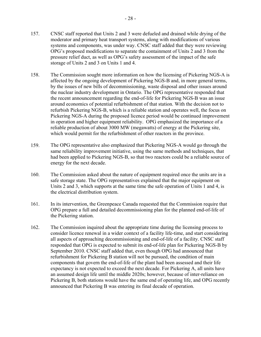- 157. CNSC staff reported that Units 2 and 3 were defueled and drained while drying of the moderator and primary heat transport systems, along with modifications of various systems and components, was under way. CNSC staff added that they were reviewing OPG's proposed modifications to separate the containment of Units 2 and 3 from the pressure relief duct, as well as OPG's safety assessment of the impact of the safe storage of Units 2 and 3 on Units 1 and 4.
- 158. The Commission sought more information on how the licensing of Pickering NGS-A is affected by the ongoing development of Pickering NGS-B and, in more general terms, by the issues of new bills of decommissioning, waste disposal and other issues around the nuclear industry development in Ontario. The OPG representative responded that the recent announcement regarding the end-of-life for Pickering NGS-B was an issue around economics of potential refurbishment of that station. With the decision not to refurbish Pickering NGS-B, which is a reliable station and operates well, the focus on Pickering NGS-A during the proposed licence period would be continued improvement in operation and higher equipment reliability. OPG emphasized the importance of a reliable production of about 3000 MW (megawatts) of energy at the Pickering site, which would permit for the refurbishment of other reactors in the province.
- 159. The OPG representative also emphasized that Pickering NGS-A would go through the same reliability improvement initiative, using the same methods and techniques, that had been applied to Pickering NGS-B, so that two reactors could be a reliable source of energy for the next decade.
- 160. The Commission asked about the nature of equipment required once the units are in a safe storage state. The OPG representatives explained that the major equipment on Units 2 and 3, which supports at the same time the safe operation of Units 1 and 4, is the electrical distribution system.
- 161. In its intervention, the Greenpeace Canada requested that the Commission require that OPG prepare a full and detailed decommissioning plan for the planned end-of-life of the Pickering station.
- 162. The Commission inquired about the appropriate time during the licensing process to consider licence renewal in a wider context of a facility life-time, and start considering all aspects of approaching decommissioning and end-of-life of a facility. CNSC staff responded that OPG is expected to submit its end-of-life plan for Pickering NGS-B by September 2010. CNSC staff added that, even though OPG had announced that refurbishment for Pickering B station will not be pursued, the condition of main components that govern the end-of-life of the plant had been assessed and their life expectancy is not expected to exceed the next decade. For Pickering A, all units have an assumed design life until the middle 2020s; however, because of inter-reliance on Pickering B, both stations would have the same end of operating life, and OPG recently announced that Pickering B was entering its final decade of operation.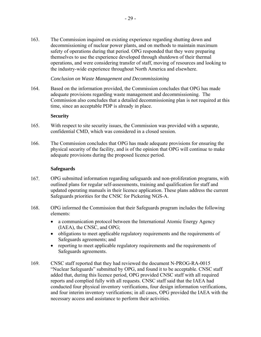<span id="page-32-0"></span>163. The Commission inquired on existing experience regarding shutting down and decommissioning of nuclear power plants, and on methods to maintain maximum safety of operations during that period. OPG responded that they were preparing themselves to use the experience developed through shutdown of their thermal operations, and were considering transfer of staff, moving of resources and looking to the industry-wide experience throughout North America and elsewhere.

#### *Conclusion on Waste Management and Decommissioning*

164. Based on the information provided, the Commission concludes that OPG has made adequate provisions regarding waste management and decommissioning. The Commission also concludes that a detailed decommissioning plan is not required at this time, since an acceptable PDP is already in place.

#### **Security**

- 165. With respect to site security issues, the Commission was provided with a separate, confidential CMD, which was considered in a closed session.
- 166. The Commission concludes that OPG has made adequate provisions for ensuring the physical security of the facility, and is of the opinion that OPG will continue to make adequate provisions during the proposed licence period.

#### **Safeguards**

- 167. OPG submitted information regarding safeguards and non-proliferation programs, with outlined plans for regular self-assessments, training and qualification for staff and updated operating manuals in their licence application. These plans address the current Safeguards priorities for the CNSC for Pickering NGS-A.
- 168. OPG informed the Commission that their Safeguards program includes the following elements:
	- a communication protocol between the International Atomic Energy Agency (IAEA), the CNSC, and OPG;
	- obligations to meet applicable regulatory requirements and the requirements of Safeguards agreements; and
	- reporting to meet applicable regulatory requirements and the requirements of Safeguards agreements.
- 169. CNSC staff reported that they had reviewed the document N-PROG-RA-0015 "Nuclear Safeguards" submitted by OPG, and found it to be acceptable. CNSC staff added that, during this licence period, OPG provided CNSC staff with all required reports and complied fully with all requests. CNSC staff said that the IAEA had conducted four physical inventory verifications, four design information verifications, and four interim inventory verifications; in all cases, OPG provided the IAEA with the necessary access and assistance to perform their activities.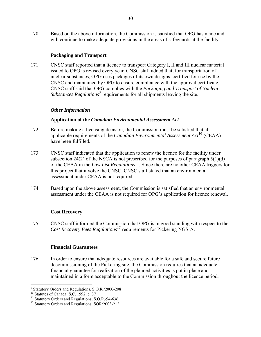<span id="page-33-0"></span>170. Based on the above information, the Commission is satisfied that OPG has made and will continue to make adequate provisions in the areas of safeguards at the facility.

## **Packaging and Transport**

171. CNSC staff reported that a licence to transport Category I, II and III nuclear material issued to OPG is revised every year. CNSC staff added that, for transportation of nuclear substances, OPG uses packages of its own designs, certified for use by the CNSC and maintained by OPG to ensure compliance with the approval certificate. CNSC staff said that OPG complies with the *Packaging and Transport of Nuclear Substances Regulations[9](#page-33-1)* requirements for all shipments leaving the site.

## *Other Information*

## **Application of the** *Canadian Environmental Assessment Act*

- 172. Before making a licensing decision, the Commission must be satisfied that all applicable requirements of the *Canadian Environmental Assessment Act*[10](#page-33-2) (CEAA) have been fulfilled.
- 173. CNSC staff indicated that the application to renew the licence for the facility under subsection 24(2) of the NSCA is not prescribed for the purposes of paragraph  $5(1)(d)$ of the CEAA in the *Law List Regulations*[11](#page-33-3). Since there are no other CEAA triggers for this project that involve the CNSC, CNSC staff stated that an environmental assessment under CEAA is not required.
- 174. Based upon the above assessment, the Commission is satisfied that an environmental assessment under the CEAA is not required for OPG's application for licence renewal.

## **Cost Recovery**

175. CNSC staff informed the Commission that OPG is in good standing with respect to the *Cost Recovery Fees Regulations[12](#page-33-4)* requirements for Pickering NGS-A.

## **Financial Guarantees**

176. In order to ensure that adequate resources are available for a safe and secure future decommissioning of the Pickering site, the Commission requires that an adequate financial guarantee for realization of the planned activities is put in place and maintained in a form acceptable to the Commission throughout the licence period.

<span id="page-33-1"></span> 9 Statutory Orders and Regulations, S.O.R./2000-208

<span id="page-33-3"></span><span id="page-33-2"></span><sup>&</sup>lt;sup>11</sup> Statutory Orders and Regulations, S.O.R./94-636.

<span id="page-33-4"></span><sup>&</sup>lt;sup>12</sup> Statutory Orders and Regulations, SOR/2003-212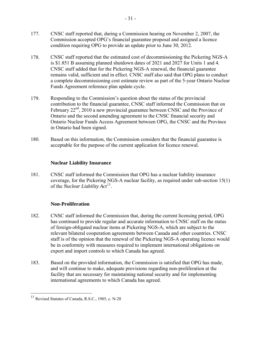- <span id="page-34-0"></span>177. CNSC staff reported that, during a Commission hearing on November 2, 2007, the Commission accepted OPG's financial guarantee proposal and assigned a licence condition requiring OPG to provide an update prior to June 30, 2012.
- 178. CNSC staff reported that the estimated cost of decommissioning the Pickering NGS-A is \$1.851 B assuming planned shutdown dates of 2021 and 2027 for Units 1 and 4. CNSC staff added that for the Pickering NGS-A renewal, the financial guarantee remains valid, sufficient and in effect. CNSC staff also said that OPG plans to conduct a complete decommissioning cost estimate review as part of the 5-year Ontario Nuclear Funds Agreement reference plan update cycle.
- 179. Responding to the Commission's question about the status of the provincial contribution to the financial guarantee, CNSC staff informed the Commission that on February 22<sup>nd</sup>, 2010 a new provincial guarantee between CNSC and the Province of Ontario and the second amending agreement to the CNSC financial security and Ontario Nuclear Funds Access Agreement between OPG, the CNSC and the Province in Ontario had been signed.
- 180. Based on this information, the Commission considers that the financial guarantee is acceptable for the purpose of the current application for licence renewal.

## **Nuclear Liability Insurance**

181. CNSC staff informed the Commission that OPG has a nuclear liability insurance coverage, for the Pickering NGS-A nuclear facility, as required under sub-section 15(1) of the *Nuclear Liability Act*[13](#page-34-1).

## **Non-Proliferation**

- 182. CNSC staff informed the Commission that, during the current licensing period, OPG has continued to provide regular and accurate information to CNSC staff on the status of foreign-obligated nuclear items at Pickering NGS-A, which are subject to the relevant bilateral cooperation agreements between Canada and other countries. CNSC staff is of the opinion that the renewal of the Pickering NGS-A operating licence would be in conformity with measures required to implement international obligations on export and import controls to which Canada has agreed.
- 183. Based on the provided information, the Commission is satisfied that OPG has made, and will continue to make, adequate provisions regarding non-proliferation at the facility that are necessary for maintaining national security and for implementing international agreements to which Canada has agreed.

1

<span id="page-34-1"></span><sup>&</sup>lt;sup>13</sup> Revised Statutes of Canada, R.S.C., 1985, c. N-28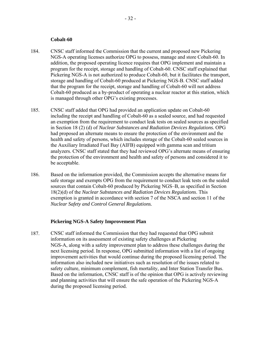#### **Cobalt-60**

- <span id="page-35-0"></span>184. CNSC staff informed the Commission that the current and proposed new Pickering NGS-A operating licenses authorize OPG to possess, manage and store Cobalt-60. In addition, the proposed operating licence requires that OPG implement and maintain a program for the receipt, storage and handling of Cobalt-60. CNSC staff explained that Pickering NGS-A is not authorized to produce Cobalt-60, but it facilitates the transport, storage and handling of Cobalt-60 produced at Pickering NGS-B. CNSC staff added that the program for the receipt, storage and handling of Cobalt-60 will not address Cobalt-60 produced as a by-product of operating a nuclear reactor at this station, which is managed through other OPG's existing processes.
- 185. CNSC staff added that OPG had provided an application update on Cobalt-60 including the receipt and handling of Cobalt-60 as a sealed source, and had requested an exemption from the requirement to conduct leak tests on sealed sources as specified in Section 18 (2) (d) of *[Nuclear Substances and Radiation Devices Regulations.](http://laws.justice.gc.ca/PDF/Regulation/s/sor-2000-207.pdf)* OPG had proposed an alternate means to ensure the protection of the environment and the health and safety of persons, which includes storage of the Cobalt-60 sealed sources in the Auxiliary Irradiated Fuel Bay (AIFB) equipped with gamma scan and tritium analyzers. CNSC staff stated that they had reviewed OPG's alternate means of ensuring the protection of the environment and health and safety of persons and considered it to be acceptable.
- 186. Based on the information provided, the Commission accepts the alternative means for safe storage and exempts OPG from the requirement to conduct leak tests on the sealed sources that contain Cobalt-60 produced by Pickering NGS–B, as specified in Section 18(2)(d) of the *Nuclear Substances and Radiation Devices Regulations*. This exemption is granted in accordance with section 7 of the NSCA and section 11 of the *Nuclear Safety and Control General Regulations.*

#### **Pickering NGS-A Safety Improvement Plan**

187. CNSC staff informed the Commission that they had requested that OPG submit information on its assessment of existing safety challenges at Pickering NGS-A, along with a safety improvement plan to address these challenges during the next licensing period. In response, OPG submitted information with a list of ongoing improvement activities that would continue during the proposed licensing period. The information also included new initiatives such as resolution of the issues related to safety culture, minimum complement, fish mortality, and Inter Station Transfer Bus. Based on the information, CNSC staff is of the opinion that OPG is actively reviewing and planning activities that will ensure the safe operation of the Pickering NGS-A during the proposed licensing period.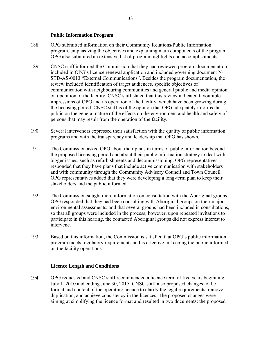## **Public Information Program**

- <span id="page-36-0"></span>188. OPG submitted information on their Community Relations/Public Information program, emphasizing the objectives and explaining main components of the program. OPG also submitted an extensive list of program highlights and accomplishments.
- 189. CNSC staff informed the Commission that they had reviewed program documentation included in OPG's licence renewal application and included governing document N-STD-AS-0013 "External Communications". Besides the program documentation, the review included identification of target audiences, specific objectives of communication with neighbouring communities and general public and media opinion on operation of the facility. CNSC staff stated that this review indicated favourable impressions of OPG and its operation of the facility, which have been growing during the licensing period. CNSC staff is of the opinion that OPG adequately informs the public on the general nature of the effects on the environment and health and safety of persons that may result from the operation of the facility.
- 190. Several intervenors expressed their satisfaction with the quality of public information programs and with the transparency and leadership that OPG has shown.
- 191. The Commission asked OPG about their plans in terms of public information beyond the proposed licensing period and about their public information strategy to deal with bigger issues, such as refurbishments and decommissioning. OPG representatives responded that they have plans that include active communication with stakeholders and with community through the Community Advisory Council and Town Council. OPG representatives added that they were developing a long-term plan to keep their stakeholders and the public informed.
- 192. The Commission sought more information on consultation with the Aboriginal groups. OPG responded that they had been consulting with Aboriginal groups on their major environmental assessments, and that several groups had been included in consultations, so that all groups were included in the process; however, upon repeated invitations to participate in this hearing, the contacted Aboriginal groups did not express interest to intervene.
- 193. Based on this information, the Commission is satisfied that OPG's public information program meets regulatory requirements and is effective in keeping the public informed on the facility operations.

## **Licence Length and Conditions**

194. OPG requested and CNSC staff recommended a licence term of five years beginning July 1, 2010 and ending June 30, 2015. CNSC staff also proposed changes to the format and content of the operating licence to clarify the legal requirements, remove duplication, and achieve consistency in the licences. The proposed changes were aiming at simplifying the licence format and resulted in two documents: the proposed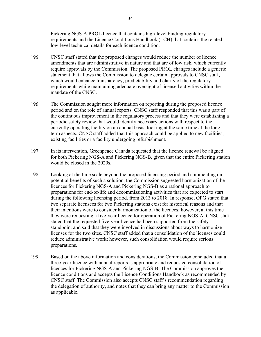Pickering NGS-A PROL licence that contains high-level binding regulatory requirements and the Licence Conditions Handbook (LCH) that contains the related low-level technical details for each licence condition.

- 195. CNSC staff stated that the proposed changes would reduce the number of licence amendments that are administrative in nature and that are of low risk, which currently require approvals by the Commission. The proposed PROL changes include a generic statement that allows the Commission to delegate certain approvals to CNSC staff, which would enhance transparency, predictability and clarity of the regulatory requirements while maintaining adequate oversight of licensed activities within the mandate of the CNSC.
- 196. The Commission sought more information on reporting during the proposed licence period and on the role of annual reports. CNSC staff responded that this was a part of the continuous improvement in the regulatory process and that they were establishing a periodic safety review that would identify necessary actions with respect to the currently operating facility on an annual basis, looking at the same time at the longterm aspects. CNSC staff added that this approach could be applied to new facilities, existing facilities or a facility undergoing refurbishment.
- 197. In its intervention, Greenpeace Canada requested that the licence renewal be aligned for both Pickering NGS-A and Pickering NGS-B, given that the entire Pickering station would be closed in the 2020s.
- 198. Looking at the time scale beyond the proposed licensing period and commenting on potential benefits of such a solution, the Commission suggested harmonization of the licences for Pickering NGS-A and Pickering NGS-B as a rational approach to preparations for end-of-life and decommissioning activities that are expected to start during the following licensing period, from 2013 to 2018. In response, OPG stated that two separate licensees for two Pickering stations exist for historical reasons and that their intentions were to consider harmonization of the licences; however, at this time they were requesting a five-year licence for operation of Pickering NGS-A. CNSC staff stated that the requested five-year licence had been supported from the safety standpoint and said that they were involved in discussions about ways to harmonize licenses for the two sites. CNSC staff added that a consolidation of the licenses could reduce administrative work; however, such consolidation would require serious preparations.
- 199. Based on the above information and considerations, the Commission concluded that a three-year licence with annual reports is appropriate and requested consolidation of licences for Pickering NGS-A and Pickering NGS-B. The Commission approves the licence conditions and accepts the Licence Conditions Handbook as recommended by CNSC staff. The Commission also accepts CNSC staff's recommendation regarding the delegation of authority, and notes that they can bring any matter to the Commission as applicable.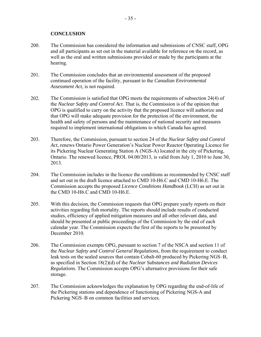## **CONCLUSION**

- <span id="page-38-0"></span>200. The Commission has considered the information and submissions of CNSC staff, OPG and all participants as set out in the material available for reference on the record, as well as the oral and written submissions provided or made by the participants at the hearing.
- 201. The Commission concludes that an environmental assessment of the proposed continued operation of the facility, pursuant to the *Canadian Environmental Assessment Act*, is not required.
- 202. The Commission is satisfied that OPG meets the requirements of subsection 24(4) of the *Nuclear Safety and Control Act*. That is, the Commission is of the opinion that OPG is qualified to carry on the activity that the proposed licence will authorize and that OPG will make adequate provision for the protection of the environment, the health and safety of persons and the maintenance of national security and measures required to implement international obligations to which Canada has agreed.
- 203. Therefore, the Commission, pursuant to section 24 of the *Nuclear Safety and Control Act*, renews Ontario Power Generation's Nuclear Power Reactor Operating Licence for its Pickering Nuclear Generating Station A (NGS-A) located in the city of Pickering, Ontario. The renewed licence, PROL 04.00/2013, is valid from July 1, 2010 to June 30, 2013.
- 204. The Commission includes in the licence the conditions as recommended by CNSC staff and set out in the draft licence attached to CMD 10-H6.C and CMD 10-H6.E. The Commission accepts the proposed *Licence Conditions Handbook* (LCH) as set out in the CMD 10-H6.C and CMD 10-H6.E.
- 205. With this decision, the Commission requests that OPG prepare yearly reports on their activities regarding fish mortality. The reports should include results of conducted studies, efficiency of applied mitigation measures and all other relevant data, and should be presented at public proceedings of the Commission by the end of each calendar year. The Commission expects the first of the reports to be presented by December 2010.
- 206. The Commission exempts OPG, pursuant to section 7 of the NSCA and section 11 of the *Nuclear Safety and Control General Regulations*, from the requirement to conduct leak tests on the sealed sources that contain Cobalt-60 produced by Pickering NGS–B, as specified in Section 18(2)(d) of the *Nuclear Substances and Radiation Devices Regulations*. The Commission accepts OPG's alternative provisions for their safe storage.
- 207. The Commission acknowledges the explanation by OPG regarding the end-of-life of the Pickering stations and dependence of functioning of Pickering NGS-A and Pickering NGS–B on common facilities and services.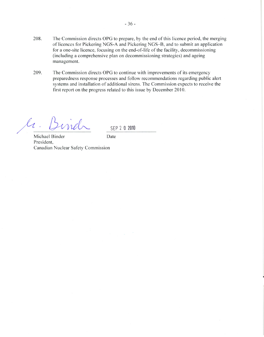- 208. The Commission directs OPG to prepare, by the end of this licence period, the merging of licences for Pickering NGS-A and Pickering NGS-B, and to submit an application for a one-site licence, focusing on the end-of-life of the facility, decommissioning (including a comprehensive plan on decommissioning strategies) and ageing management.
- 209. The Commission directs OPG to continue with improvements of its emergency preparedness response processes and follow recommendations regarding public alert systems and installation of additional sirens. The Commission expects to receive the first report on the progress related to this issue by December 2010.

 $\ell_{\mathcal{C}}$ 

SFP 2 0 2010

Michael Binder Date President, Canadian Nuclear Safety Commission